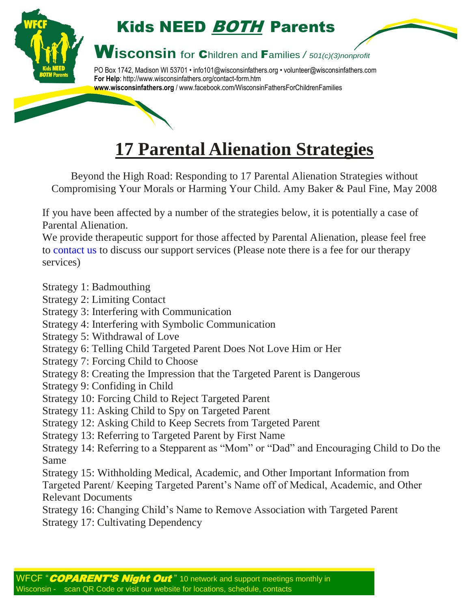

## **17 Parental Alienation Strategies**

Beyond the High Road: Responding to 17 Parental Alienation Strategies without Compromising Your Morals or Harming Your Child. Amy Baker & Paul Fine, May 2008

If you have been affected by a number of the strategies below, it is potentially a case of Parental Alienation.

We provide therapeutic support for those affected by Parental Alienation, please feel free to [contact](https://parentalienation.kartra.com/help/Helpdesk) us to discuss our support services (Please note there is a fee for our therapy services)

Strategy 1: Badmouthing

- Strategy 2: Limiting Contact
- Strategy 3: Interfering with Communication
- Strategy 4: Interfering with Symbolic Communication
- Strategy 5: Withdrawal of Love
- Strategy 6: Telling Child Targeted Parent Does Not Love Him or Her
- Strategy 7: Forcing Child to Choose
- Strategy 8: Creating the Impression that the Targeted Parent is Dangerous
- Strategy 9: Confiding in Child
- Strategy 10: Forcing Child to Reject Targeted Parent
- Strategy 11: Asking Child to Spy on Targeted Parent
- Strategy 12: Asking Child to Keep Secrets from Targeted Parent
- Strategy 13: Referring to Targeted Parent by First Name
- Strategy 14: Referring to a Stepparent as "Mom" or "Dad" and Encouraging Child to Do the Same
- Strategy 15: Withholding Medical, Academic, and Other Important Information from Targeted Parent/ Keeping Targeted Parent's Name off of Medical, Academic, and Other Relevant Documents
- Strategy 16: Changing Child's Name to Remove Association with Targeted Parent Strategy 17: Cultivating Dependency